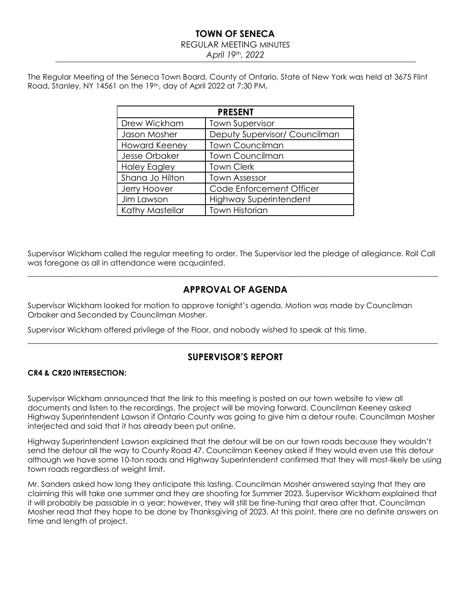#### REGULAR MEETING MINUTES

*April 19th, 2022*

The Regular Meeting of the Seneca Town Board, County of Ontario, State of New York was held at 3675 Flint Road, Stanley, NY 14561 on the 19th, day of April 2022 at 7:30 PM.

| <b>PRESENT</b>       |                               |  |  |  |  |
|----------------------|-------------------------------|--|--|--|--|
| Drew Wickham         | <b>Town Supervisor</b>        |  |  |  |  |
| Jason Mosher         | Deputy Supervisor/ Councilman |  |  |  |  |
| <b>Howard Keeney</b> | <b>Town Councilman</b>        |  |  |  |  |
| Jesse Orbaker        | <b>Town Councilman</b>        |  |  |  |  |
| <b>Haley Eagley</b>  | <b>Town Clerk</b>             |  |  |  |  |
| Shana Jo Hilton      | <b>Town Assessor</b>          |  |  |  |  |
| Jerry Hoover         | Code Enforcement Officer      |  |  |  |  |
| Jim Lawson           | <b>Highway Superintendent</b> |  |  |  |  |
| Kathy Mastellar      | <b>Town Historian</b>         |  |  |  |  |

Supervisor Wickham called the regular meeting to order. The Supervisor led the pledge of allegiance. Roll Call was foregone as all in attendance were acquainted.  $\_$  , and the set of the set of the set of the set of the set of the set of the set of the set of the set of the set of the set of the set of the set of the set of the set of the set of the set of the set of the set of th

# **APPROVAL OF AGENDA**

Supervisor Wickham looked for motion to approve tonight's agenda. Motion was made by Councilman Orbaker and Seconded by Councilman Mosher.

Supervisor Wickham offered privilege of the Floor, and nobody wished to speak at this time.

# **SUPERVISOR'S REPORT**

 $\_$  , and the set of the set of the set of the set of the set of the set of the set of the set of the set of the set of the set of the set of the set of the set of the set of the set of the set of the set of the set of th

### **CR4 & CR20 INTERSECTION:**

Supervisor Wickham announced that the link to this meeting is posted on our town website to view all documents and listen to the recordings. The project will be moving forward. Councilman Keeney asked Highway Superintendent Lawson if Ontario County was going to give him a detour route. Councilman Mosher interjected and said that it has already been put online.

Highway Superintendent Lawson explained that the detour will be on our town roads because they wouldn't send the detour all the way to County Road 47. Councilman Keeney asked if they would even use this detour although we have some 10-ton roads and Highway Superintendent confirmed that they will most-likely be using town roads regardless of weight limit.

Mr. Sanders asked how long they anticipate this lasting. Councilman Mosher answered saying that they are claiming this will take one summer and they are shooting for Summer 2023. Supervisor Wickham explained that it will probably be passable in a year; however, they will still be fine-tuning that area after that. Councilman Mosher read that they hope to be done by Thanksgiving of 2023. At this point, there are no definite answers on time and length of project.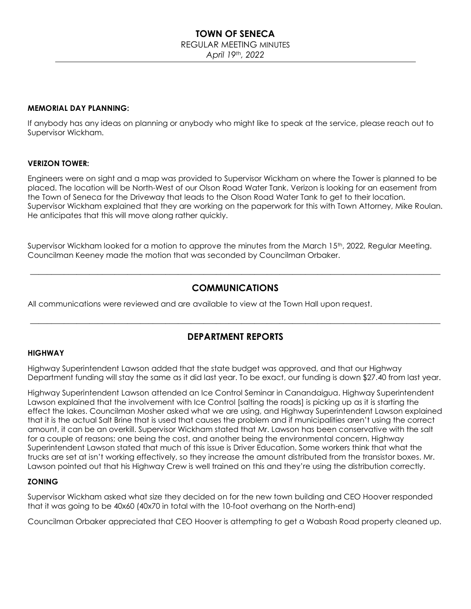## REGULAR MEETING MINUTES

*April 19th, 2022*

#### **MEMORIAL DAY PLANNING:**

If anybody has any ideas on planning or anybody who might like to speak at the service, please reach out to Supervisor Wickham.

#### **VERIZON TOWER:**

Engineers were on sight and a map was provided to Supervisor Wickham on where the Tower is planned to be placed. The location will be North-West of our Olson Road Water Tank. Verizon is looking for an easement from the Town of Seneca for the Driveway that leads to the Olson Road Water Tank to get to their location. Supervisor Wickham explained that they are working on the paperwork for this with Town Attorney, Mike Roulan. He anticipates that this will move along rather quickly.

Supervisor Wickham looked for a motion to approve the minutes from the March 15<sup>th</sup>, 2022, Regular Meeting. Councilman Keeney made the motion that was seconded by Councilman Orbaker.

# **COMMUNICATIONS**

 $\_$  , and the set of the set of the set of the set of the set of the set of the set of the set of the set of the set of the set of the set of the set of the set of the set of the set of the set of the set of the set of th

All communications were reviewed and are available to view at the Town Hall upon request.

### **DEPARTMENT REPORTS**

\_\_\_\_\_\_\_\_\_\_\_\_\_\_\_\_\_\_\_\_\_\_\_\_\_\_\_\_\_\_\_\_\_\_\_\_\_\_\_\_\_\_\_\_\_\_\_\_\_\_\_\_\_\_\_\_\_\_\_\_\_\_\_\_\_\_\_\_\_\_\_\_\_\_\_\_\_\_\_\_\_\_\_\_\_\_\_\_\_\_\_\_\_\_\_\_\_

#### **HIGHWAY**

Highway Superintendent Lawson added that the state budget was approved, and that our Highway Department funding will stay the same as it did last year. To be exact, our funding is down \$27.40 from last year.

Highway Superintendent Lawson attended an Ice Control Seminar in Canandaigua. Highway Superintendent Lawson explained that the involvement with Ice Control [salting the roads] is picking up as it is starting the effect the lakes. Councilman Mosher asked what we are using, and Highway Superintendent Lawson explained that it is the actual Salt Brine that is used that causes the problem and if municipalities aren't using the correct amount, it can be an overkill. Supervisor Wickham stated that Mr. Lawson has been conservative with the salt for a couple of reasons; one being the cost, and another being the environmental concern. Highway Superintendent Lawson stated that much of this issue is Driver Education. Some workers think that what the trucks are set at isn't working effectively, so they increase the amount distributed from the transistor boxes. Mr. Lawson pointed out that his Highway Crew is well trained on this and they're using the distribution correctly.

### **ZONING**

Supervisor Wickham asked what size they decided on for the new town building and CEO Hoover responded that it was going to be 40x60 (40x70 in total with the 10-foot overhang on the North-end)

Councilman Orbaker appreciated that CEO Hoover is attempting to get a Wabash Road property cleaned up.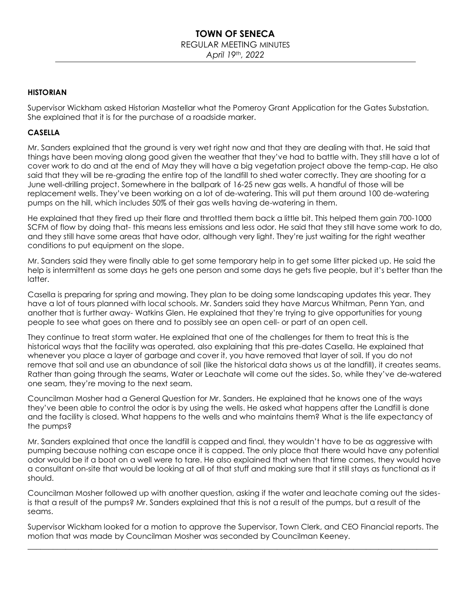### **TOWN OF SENECA** REGULAR MEETING MINUTES *April 19th, 2022*

#### **HISTORIAN**

Supervisor Wickham asked Historian Mastellar what the Pomeroy Grant Application for the Gates Substation. She explained that it is for the purchase of a roadside marker.

#### **CASELLA**

Mr. Sanders explained that the ground is very wet right now and that they are dealing with that. He said that things have been moving along good given the weather that they've had to battle with. They still have a lot of cover work to do and at the end of May they will have a big vegetation project above the temp-cap. He also said that they will be re-grading the entire top of the landfill to shed water correctly. They are shooting for a June well-drilling project. Somewhere in the ballpark of 16-25 new gas wells. A handful of those will be replacement wells. They've been working on a lot of de-watering. This will put them around 100 de-watering pumps on the hill, which includes 50% of their gas wells having de-watering in them.

He explained that they fired up their flare and throttled them back a little bit. This helped them gain 700-1000 SCFM of flow by doing that- this means less emissions and less odor. He said that they still have some work to do, and they still have some areas that have odor, although very light. They're just waiting for the right weather conditions to put equipment on the slope.

Mr. Sanders said they were finally able to get some temporary help in to get some litter picked up. He said the help is intermittent as some days he gets one person and some days he gets five people, but it's better than the latter.

Casella is preparing for spring and mowing. They plan to be doing some landscaping updates this year. They have a lot of tours planned with local schools. Mr. Sanders said they have Marcus Whitman, Penn Yan, and another that is further away- Watkins Glen. He explained that they're trying to give opportunities for young people to see what goes on there and to possibly see an open cell- or part of an open cell.

They continue to treat storm water. He explained that one of the challenges for them to treat this is the historical ways that the facility was operated, also explaining that this pre-dates Casella. He explained that whenever you place a layer of garbage and cover it, you have removed that layer of soil. If you do not remove that soil and use an abundance of soil (like the historical data shows us at the landfill), it creates seams. Rather than going through the seams, Water or Leachate will come out the sides. So, while they've de-watered one seam, they're moving to the next seam.

Councilman Mosher had a General Question for Mr. Sanders. He explained that he knows one of the ways they've been able to control the odor is by using the wells. He asked what happens after the Landfill is done and the facility is closed. What happens to the wells and who maintains them? What is the life expectancy of the pumps?

Mr. Sanders explained that once the landfill is capped and final, they wouldn't have to be as aggressive with pumping because nothing can escape once it is capped. The only place that there would have any potential odor would be if a boot on a well were to tare. He also explained that when that time comes, they would have a consultant on-site that would be looking at all of that stuff and making sure that it still stays as functional as it should.

Councilman Mosher followed up with another question, asking if the water and leachate coming out the sidesis that a result of the pumps? Mr. Sanders explained that this is not a result of the pumps, but a result of the seams.

Supervisor Wickham looked for a motion to approve the Supervisor, Town Clerk, and CEO Financial reports. The motion that was made by Councilman Mosher was seconded by Councilman Keeney. \_\_\_\_\_\_\_\_\_\_\_\_\_\_\_\_\_\_\_\_\_\_\_\_\_\_\_\_\_\_\_\_\_\_\_\_\_\_\_\_\_\_\_\_\_\_\_\_\_\_\_\_\_\_\_\_\_\_\_\_\_\_\_\_\_\_\_\_\_\_\_\_\_\_\_\_\_\_\_\_\_\_\_\_\_\_\_\_\_\_\_\_\_\_\_\_\_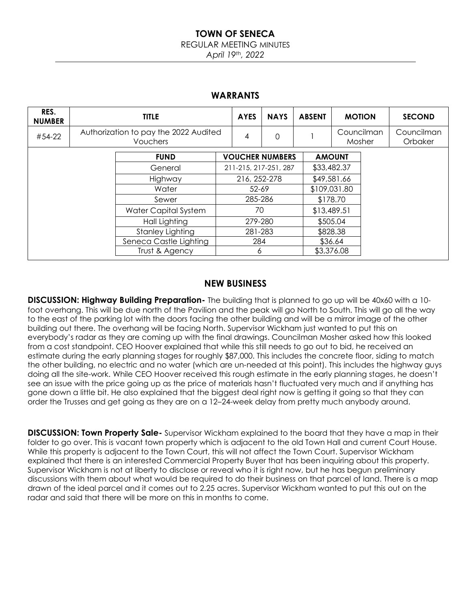#### REGULAR MEETING MINUTES

*April 19th, 2022*

### **WARRANTS**

| RES.<br><b>NUMBER</b> | <b>TITLE</b>                                             |                         |                        | <b>AYES</b>  | <b>NAYS</b> | <b>ABSENT</b> |             | <b>MOTION</b>        | <b>SECOND</b>         |
|-----------------------|----------------------------------------------------------|-------------------------|------------------------|--------------|-------------|---------------|-------------|----------------------|-----------------------|
| #54-22                | Authorization to pay the 2022 Audited<br><b>Vouchers</b> |                         |                        | 4            | $\Omega$    |               |             | Councilman<br>Mosher | Councilman<br>Orbaker |
|                       |                                                          | <b>FUND</b>             | <b>VOUCHER NUMBERS</b> |              |             | <b>AMOUNT</b> |             |                      |                       |
|                       |                                                          | General                 | 211-215, 217-251, 287  |              |             | \$33,482.37   |             |                      |                       |
|                       |                                                          | Highway                 |                        | 216, 252-278 |             |               | \$49,581.66 |                      |                       |
|                       |                                                          | Water                   | $52 - 69$              |              |             | \$109,031.80  |             |                      |                       |
|                       |                                                          | Sewer                   | 285-286                |              |             | \$178.70      |             |                      |                       |
|                       |                                                          | Water Capital System    | 70                     |              |             | \$13,489.51   |             |                      |                       |
|                       |                                                          | Hall Lighting           | 279-280                |              |             | \$505.04      |             |                      |                       |
|                       |                                                          | <b>Stanley Lighting</b> | 281-283                |              |             |               | \$828.38    |                      |                       |
|                       |                                                          | Seneca Castle Lighting  |                        | 284          |             |               | \$36.64     |                      |                       |
|                       |                                                          | Trust & Agency          | Ô                      |              |             | \$3,376.08    |             |                      |                       |

### **NEW BUSINESS**

**DISCUSSION: Highway Building Preparation-** The building that is planned to go up will be 40x60 with a 10 foot overhang. This will be due north of the Pavilion and the peak will go North to South. This will go all the way to the east of the parking lot with the doors facing the other building and will be a mirror image of the other building out there. The overhang will be facing North. Supervisor Wickham just wanted to put this on everybody's radar as they are coming up with the final drawings. Councilman Mosher asked how this looked from a cost standpoint. CEO Hoover explained that while this still needs to go out to bid, he received an estimate during the early planning stages for roughly \$87,000. This includes the concrete floor, siding to match the other building, no electric and no water (which are un-needed at this point). This includes the highway guys doing all the site-work. While CEO Hoover received this rough estimate in the early planning stages, he doesn't see an issue with the price going up as the price of materials hasn't fluctuated very much and if anything has gone down a little bit. He also explained that the biggest deal right now is getting it going so that they can order the Trusses and get going as they are on a 12–24-week delay from pretty much anybody around.

**DISCUSSION: Town Property Sale-** Supervisor Wickham explained to the board that they have a map in their folder to go over. This is vacant town property which is adjacent to the old Town Hall and current Court House. While this property is adjacent to the Town Court, this will not affect the Town Court. Supervisor Wickham explained that there is an interested Commercial Property Buyer that has been inquiring about this property. Supervisor Wickham is not at liberty to disclose or reveal who it is right now, but he has begun preliminary discussions with them about what would be required to do their business on that parcel of land. There is a map drawn of the ideal parcel and it comes out to 2.25 acres. Supervisor Wickham wanted to put this out on the radar and said that there will be more on this in months to come.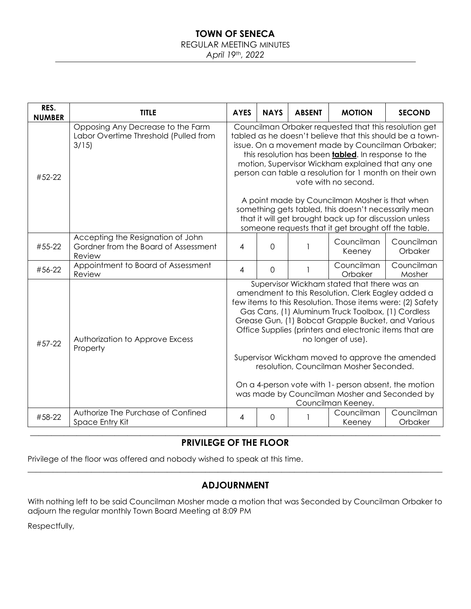### REGULAR MEETING MINUTES

*April 19th, 2022*

| RES.<br><b>NUMBER</b> | <b>TITLE</b>                                                                                                                                                                                                                                                                                                                                                                                                                                                      | <b>AYES</b>                                                                                                                                                                                                                                                                                                                                                                                                                                                                                                                                                                               | <b>NAYS</b>    | <b>ABSENT</b> | <b>MOTION</b>         | <b>SECOND</b>         |  |  |  |
|-----------------------|-------------------------------------------------------------------------------------------------------------------------------------------------------------------------------------------------------------------------------------------------------------------------------------------------------------------------------------------------------------------------------------------------------------------------------------------------------------------|-------------------------------------------------------------------------------------------------------------------------------------------------------------------------------------------------------------------------------------------------------------------------------------------------------------------------------------------------------------------------------------------------------------------------------------------------------------------------------------------------------------------------------------------------------------------------------------------|----------------|---------------|-----------------------|-----------------------|--|--|--|
| #52-22                | Opposing Any Decrease to the Farm<br>Councilman Orbaker requested that this resolution get<br>Labor Overtime Threshold (Pulled from<br>tabled as he doesn't believe that this should be a town-<br>3/15<br>issue. On a movement made by Councilman Orbaker;<br>this resolution has been <b>tabled</b> . In response to the<br>motion, Supervisor Wickham explained that any one<br>person can table a resolution for 1 month on their own<br>vote with no second. |                                                                                                                                                                                                                                                                                                                                                                                                                                                                                                                                                                                           |                |               |                       |                       |  |  |  |
|                       |                                                                                                                                                                                                                                                                                                                                                                                                                                                                   | A point made by Councilman Mosher is that when<br>something gets tabled, this doesn't necessarily mean<br>that it will get brought back up for discussion unless<br>someone requests that it get brought off the table.                                                                                                                                                                                                                                                                                                                                                                   |                |               |                       |                       |  |  |  |
| #55-22                | Accepting the Resignation of John<br>Gordner from the Board of Assessment<br>Review                                                                                                                                                                                                                                                                                                                                                                               | 4                                                                                                                                                                                                                                                                                                                                                                                                                                                                                                                                                                                         | $\overline{0}$ |               | Councilman<br>Keeney  | Councilman<br>Orbaker |  |  |  |
| #56-22                | Appointment to Board of Assessment<br>Review                                                                                                                                                                                                                                                                                                                                                                                                                      | $\overline{4}$                                                                                                                                                                                                                                                                                                                                                                                                                                                                                                                                                                            | $\mathbf 0$    |               | Councilman<br>Orbaker | Councilman<br>Mosher  |  |  |  |
| #57-22                | Authorization to Approve Excess<br>Property                                                                                                                                                                                                                                                                                                                                                                                                                       | Supervisor Wickham stated that there was an<br>amendment to this Resolution. Clerk Eagley added a<br>few items to this Resolution. Those items were: (2) Safety<br>Gas Cans, (1) Aluminum Truck Toolbox, (1) Cordless<br>Grease Gun, (1) Bobcat Grapple Bucket, and Various<br>Office Supplies (printers and electronic items that are<br>no longer of use).<br>Supervisor Wickham moved to approve the amended<br>resolution, Councilman Mosher Seconded.<br>On a 4-person vote with 1- person absent, the motion<br>was made by Councilman Mosher and Seconded by<br>Councilman Keeney. |                |               |                       |                       |  |  |  |
| #58-22                | Authorize The Purchase of Confined<br>Space Entry Kit                                                                                                                                                                                                                                                                                                                                                                                                             | 4                                                                                                                                                                                                                                                                                                                                                                                                                                                                                                                                                                                         | $\Omega$       |               | Councilman<br>Keeney  | Councilman<br>Orbaker |  |  |  |
|                       |                                                                                                                                                                                                                                                                                                                                                                                                                                                                   |                                                                                                                                                                                                                                                                                                                                                                                                                                                                                                                                                                                           |                |               |                       |                       |  |  |  |

# **PRIVILEGE OF THE FLOOR**

Privilege of the floor was offered and nobody wished to speak at this time.

# **ADJOURNMENT**

 $\_$  , and the set of the set of the set of the set of the set of the set of the set of the set of the set of the set of the set of the set of the set of the set of the set of the set of the set of the set of the set of th

With nothing left to be said Councilman Mosher made a motion that was Seconded by Councilman Orbaker to adjourn the regular monthly Town Board Meeting at 8:09 PM

Respectfully,